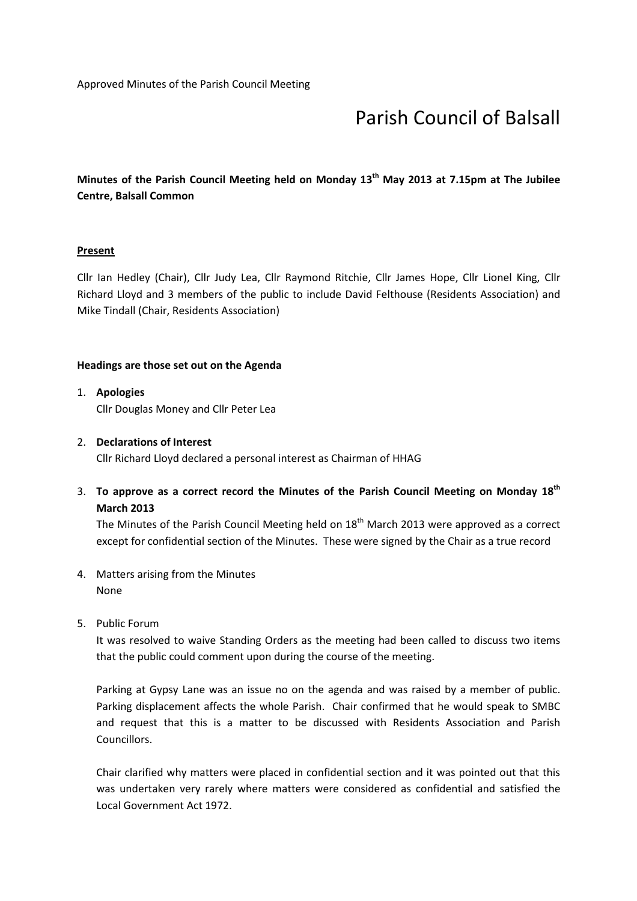# Parish Council of Balsall

Minutes of the Parish Council Meeting held on Monday 13<sup>th</sup> May 2013 at 7.15pm at The Jubilee Centre, Balsall Common

## **Present**

Cllr Ian Hedley (Chair), Cllr Judy Lea, Cllr Raymond Ritchie, Cllr James Hope, Cllr Lionel King, Cllr Richard Lloyd and 3 members of the public to include David Felthouse (Residents Association) and Mike Tindall (Chair, Residents Association)

### Headings are those set out on the Agenda

1. Apologies Cllr Douglas Money and Cllr Peter Lea

- 2. Declarations of Interest Cllr Richard Lloyd declared a personal interest as Chairman of HHAG
- 3. To approve as a correct record the Minutes of the Parish Council Meeting on Monday  $18<sup>th</sup>$ March 2013

The Minutes of the Parish Council Meeting held on  $18<sup>th</sup>$  March 2013 were approved as a correct except for confidential section of the Minutes. These were signed by the Chair as a true record

- 4. Matters arising from the Minutes None
- 5. Public Forum

It was resolved to waive Standing Orders as the meeting had been called to discuss two items that the public could comment upon during the course of the meeting.

Parking at Gypsy Lane was an issue no on the agenda and was raised by a member of public. Parking displacement affects the whole Parish. Chair confirmed that he would speak to SMBC and request that this is a matter to be discussed with Residents Association and Parish Councillors.

Chair clarified why matters were placed in confidential section and it was pointed out that this was undertaken very rarely where matters were considered as confidential and satisfied the Local Government Act 1972.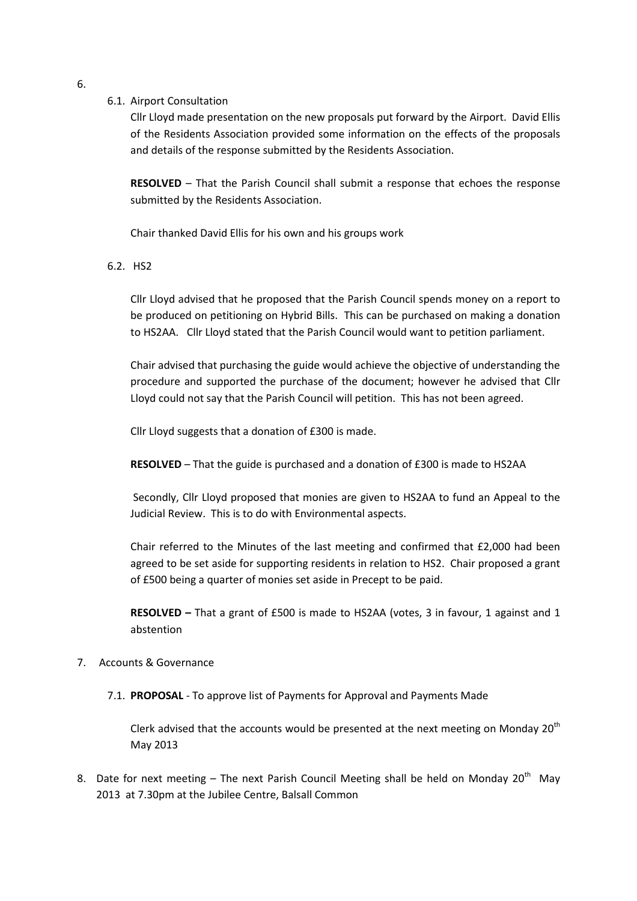### 6.1. Airport Consultation

Cllr Lloyd made presentation on the new proposals put forward by the Airport. David Ellis of the Residents Association provided some information on the effects of the proposals and details of the response submitted by the Residents Association.

RESOLVED – That the Parish Council shall submit a response that echoes the response submitted by the Residents Association.

Chair thanked David Ellis for his own and his groups work

6.2. HS2

Cllr Lloyd advised that he proposed that the Parish Council spends money on a report to be produced on petitioning on Hybrid Bills. This can be purchased on making a donation to HS2AA. Cllr Lloyd stated that the Parish Council would want to petition parliament.

Chair advised that purchasing the guide would achieve the objective of understanding the procedure and supported the purchase of the document; however he advised that Cllr Lloyd could not say that the Parish Council will petition. This has not been agreed.

Cllr Lloyd suggests that a donation of £300 is made.

RESOLVED – That the guide is purchased and a donation of £300 is made to HS2AA

 Secondly, Cllr Lloyd proposed that monies are given to HS2AA to fund an Appeal to the Judicial Review. This is to do with Environmental aspects.

Chair referred to the Minutes of the last meeting and confirmed that £2,000 had been agreed to be set aside for supporting residents in relation to HS2. Chair proposed a grant of £500 being a quarter of monies set aside in Precept to be paid.

RESOLVED – That a grant of £500 is made to HS2AA (votes, 3 in favour, 1 against and 1 abstention

#### 7. Accounts & Governance

7.1. PROPOSAL - To approve list of Payments for Approval and Payments Made

Clerk advised that the accounts would be presented at the next meeting on Monday  $20<sup>th</sup>$ May 2013

8. Date for next meeting – The next Parish Council Meeting shall be held on Monday 20<sup>th</sup> May 2013 at 7.30pm at the Jubilee Centre, Balsall Common

6.